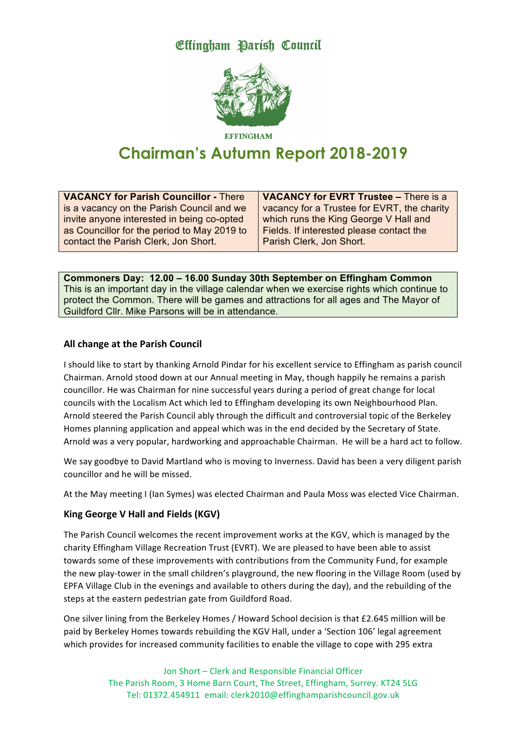Effingham Parish Council



**EFFINCHAM** 

# **Chairman's Autumn Report 2018-2019**

**VACANCY for Parish Councillor -** There is a vacancy on the Parish Council and we invite anyone interested in being co-opted as Councillor for the period to May 2019 to contact the Parish Clerk, Jon Short.

**VACANCY for EVRT Trustee –** There is a vacancy for a Trustee for EVRT, the charity which runs the King George V Hall and Fields. If interested please contact the Parish Clerk, Jon Short.

**Commoners Day: 12.00 – 16.00 Sunday 30th September on Effingham Common** This is an important day in the village calendar when we exercise rights which continue to protect the Common. There will be games and attractions for all ages and The Mayor of Guildford Cllr. Mike Parsons will be in attendance.

## **All change at the Parish Council**

I should like to start by thanking Arnold Pindar for his excellent service to Effingham as parish council Chairman. Arnold stood down at our Annual meeting in May, though happily he remains a parish councillor. He was Chairman for nine successful years during a period of great change for local councils with the Localism Act which led to Effingham developing its own Neighbourhood Plan. Arnold steered the Parish Council ably through the difficult and controversial topic of the Berkeley Homes planning application and appeal which was in the end decided by the Secretary of State. Arnold was a very popular, hardworking and approachable Chairman. He will be a hard act to follow.

We say goodbye to David Martland who is moving to Inverness. David has been a very diligent parish councillor and he will be missed.

At the May meeting I (Ian Symes) was elected Chairman and Paula Moss was elected Vice Chairman.

# **King George V Hall and Fields (KGV)**

The Parish Council welcomes the recent improvement works at the KGV, which is managed by the charity Effingham Village Recreation Trust (EVRT). We are pleased to have been able to assist towards some of these improvements with contributions from the Community Fund, for example the new play-tower in the small children's playground, the new flooring in the Village Room (used by EPFA Village Club in the evenings and available to others during the day), and the rebuilding of the steps at the eastern pedestrian gate from Guildford Road.

One silver lining from the Berkeley Homes / Howard School decision is that £2.645 million will be paid by Berkeley Homes towards rebuilding the KGV Hall, under a 'Section 106' legal agreement which provides for increased community facilities to enable the village to cope with 295 extra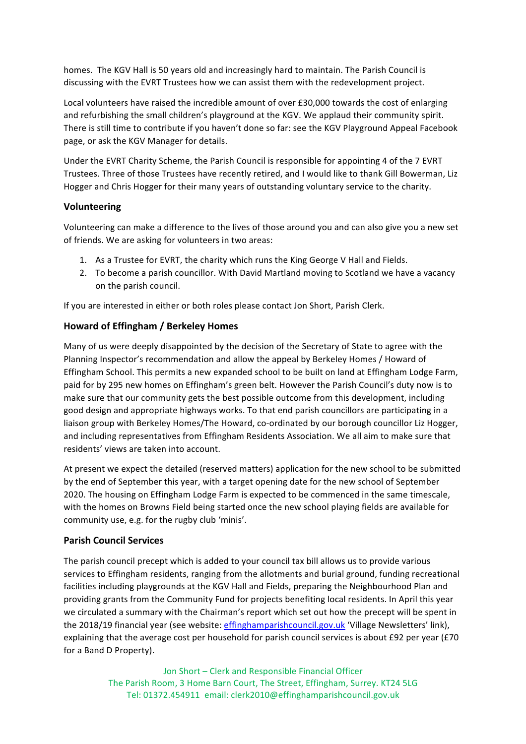homes. The KGV Hall is 50 years old and increasingly hard to maintain. The Parish Council is discussing with the EVRT Trustees how we can assist them with the redevelopment project.

Local volunteers have raised the incredible amount of over £30,000 towards the cost of enlarging and refurbishing the small children's playground at the KGV. We applaud their community spirit. There is still time to contribute if you haven't done so far: see the KGV Playground Appeal Facebook page, or ask the KGV Manager for details.

Under the EVRT Charity Scheme, the Parish Council is responsible for appointing 4 of the 7 EVRT Trustees. Three of those Trustees have recently retired, and I would like to thank Gill Bowerman, Liz Hogger and Chris Hogger for their many years of outstanding voluntary service to the charity.

## **Volunteering**

Volunteering can make a difference to the lives of those around you and can also give you a new set of friends. We are asking for volunteers in two areas:

- 1. As a Trustee for EVRT, the charity which runs the King George V Hall and Fields.
- 2. To become a parish councillor. With David Martland moving to Scotland we have a vacancy on the parish council.

If you are interested in either or both roles please contact Jon Short, Parish Clerk.

## **Howard of Effingham / Berkeley Homes**

Many of us were deeply disappointed by the decision of the Secretary of State to agree with the Planning Inspector's recommendation and allow the appeal by Berkeley Homes / Howard of Effingham School. This permits a new expanded school to be built on land at Effingham Lodge Farm, paid for by 295 new homes on Effingham's green belt. However the Parish Council's duty now is to make sure that our community gets the best possible outcome from this development, including good design and appropriate highways works. To that end parish councillors are participating in a liaison group with Berkeley Homes/The Howard, co-ordinated by our borough councillor Liz Hogger, and including representatives from Effingham Residents Association. We all aim to make sure that residents' views are taken into account.

At present we expect the detailed (reserved matters) application for the new school to be submitted by the end of September this year, with a target opening date for the new school of September 2020. The housing on Effingham Lodge Farm is expected to be commenced in the same timescale, with the homes on Browns Field being started once the new school playing fields are available for community use, e.g. for the rugby club 'minis'.

#### **Parish Council Services**

The parish council precept which is added to your council tax bill allows us to provide various services to Effingham residents, ranging from the allotments and burial ground, funding recreational facilities including playgrounds at the KGV Hall and Fields, preparing the Neighbourhood Plan and providing grants from the Community Fund for projects benefiting local residents. In April this year we circulated a summary with the Chairman's report which set out how the precept will be spent in the 2018/19 financial year (see website: effinghamparishcouncil.gov.uk 'Village Newsletters' link), explaining that the average cost per household for parish council services is about £92 per year (£70 for a Band D Property).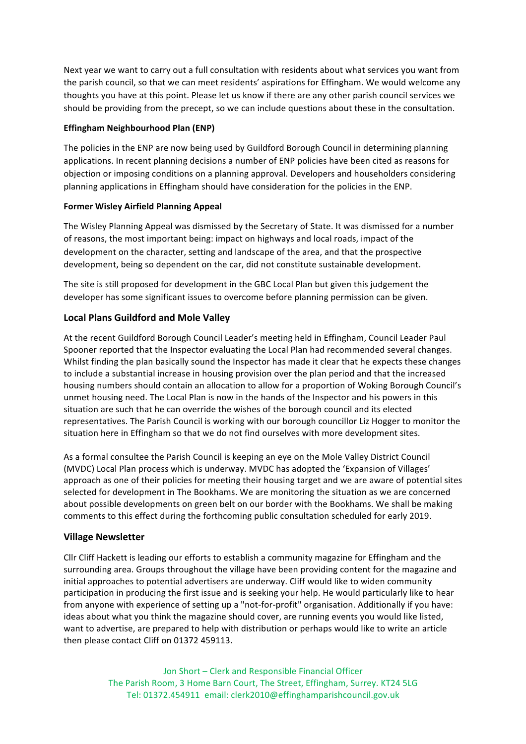Next year we want to carry out a full consultation with residents about what services you want from the parish council, so that we can meet residents' aspirations for Effingham. We would welcome any thoughts you have at this point. Please let us know if there are any other parish council services we should be providing from the precept, so we can include questions about these in the consultation.

#### **Effingham Neighbourhood Plan (ENP)**

The policies in the ENP are now being used by Guildford Borough Council in determining planning applications. In recent planning decisions a number of ENP policies have been cited as reasons for objection or imposing conditions on a planning approval. Developers and householders considering planning applications in Effingham should have consideration for the policies in the ENP.

#### **Former Wisley Airfield Planning Appeal**

The Wisley Planning Appeal was dismissed by the Secretary of State. It was dismissed for a number of reasons, the most important being: impact on highways and local roads, impact of the development on the character, setting and landscape of the area, and that the prospective development, being so dependent on the car, did not constitute sustainable development.

The site is still proposed for development in the GBC Local Plan but given this judgement the developer has some significant issues to overcome before planning permission can be given.

## **Local Plans Guildford and Mole Valley**

At the recent Guildford Borough Council Leader's meeting held in Effingham, Council Leader Paul Spooner reported that the Inspector evaluating the Local Plan had recommended several changes. Whilst finding the plan basically sound the Inspector has made it clear that he expects these changes to include a substantial increase in housing provision over the plan period and that the increased housing numbers should contain an allocation to allow for a proportion of Woking Borough Council's unmet housing need. The Local Plan is now in the hands of the Inspector and his powers in this situation are such that he can override the wishes of the borough council and its elected representatives. The Parish Council is working with our borough councillor Liz Hogger to monitor the situation here in Effingham so that we do not find ourselves with more development sites.

As a formal consultee the Parish Council is keeping an eye on the Mole Valley District Council (MVDC) Local Plan process which is underway. MVDC has adopted the 'Expansion of Villages' approach as one of their policies for meeting their housing target and we are aware of potential sites selected for development in The Bookhams. We are monitoring the situation as we are concerned about possible developments on green belt on our border with the Bookhams. We shall be making comments to this effect during the forthcoming public consultation scheduled for early 2019.

## **Village Newsletter**

Cllr Cliff Hackett is leading our efforts to establish a community magazine for Effingham and the surrounding area. Groups throughout the village have been providing content for the magazine and initial approaches to potential advertisers are underway. Cliff would like to widen community participation in producing the first issue and is seeking your help. He would particularly like to hear from anyone with experience of setting up a "not-for-profit" organisation. Additionally if you have: ideas about what you think the magazine should cover, are running events you would like listed, want to advertise, are prepared to help with distribution or perhaps would like to write an article then please contact Cliff on 01372 459113.